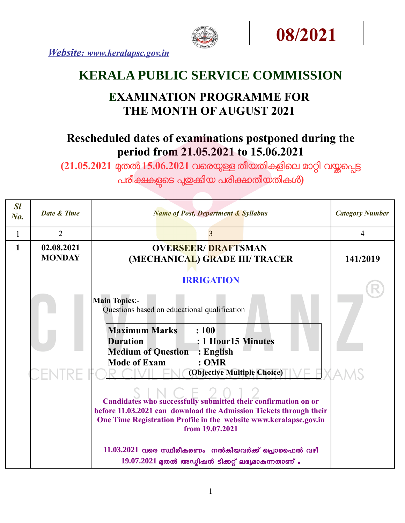





# **KERALA PUBLIC SERVICE COMMISSION**

# **EXAMINATION PROGRAMME FOR THE MONTH OF AUGUST 2021**

# **Rescheduled dates of examinations postponed during the period from 21.05.2021 to 15.06.2021**

(21.05.2021 മുതൽ 15.06.2021 വരെയുള്ള തീയതികളിലെ മാറ്റി വയ്ക്കപ്പെട്ട

പരീക്ഷകളുടെ പുതുകിയ പരീക്ഷതീയതികൾ)

| SI<br>No. | <b>Date &amp; Time</b>      | <b>Name of Post, Department &amp; Syllabus</b>                                                                                                                                                                                                                                                                                                                                                                                                                                                                                                                                                                                        | <b>Category Number</b> |
|-----------|-----------------------------|---------------------------------------------------------------------------------------------------------------------------------------------------------------------------------------------------------------------------------------------------------------------------------------------------------------------------------------------------------------------------------------------------------------------------------------------------------------------------------------------------------------------------------------------------------------------------------------------------------------------------------------|------------------------|
| 1         | $\overline{2}$              | 3                                                                                                                                                                                                                                                                                                                                                                                                                                                                                                                                                                                                                                     | 4                      |
| 1         | 02.08.2021<br><b>MONDAY</b> | <b>OVERSEER/DRAFTSMAN</b><br>(MECHANICAL) GRADE III/ TRACER                                                                                                                                                                                                                                                                                                                                                                                                                                                                                                                                                                           | 141/2019               |
|           |                             | <b>IRRIGATION</b><br><b>Main Topics:-</b><br>Questions based on educational qualification<br><b>Maximum Marks</b><br>: 100<br>: 1 Hour15 Minutes<br><b>Duration</b><br><b>Medium of Question</b><br>$:$ English<br><b>Mode of Exam</b><br>: <b>OMR</b><br>(Objective Multiple Choice)<br>Candidates who successfully submitted their confirmation on or<br>before 11.03.2021 can download the Admission Tickets through their<br>One Time Registration Profile in the website www.keralapsc.gov.in<br>from 19.07.2021<br>$11.03.2021$ വരെ സ്ഥിരീകരണം നൽകിയവർക്ക് പ്രൊഫൈൽ വഴി<br>$19.07.2021$ മുതൽ അഡ്യിഷൻ ടിക്കറ്റ് ലഭ്യമാകുന്നതാണ് . |                        |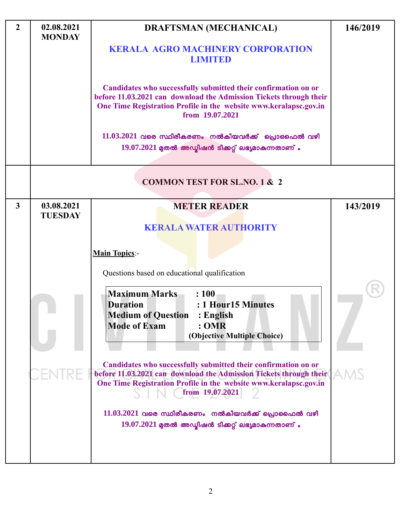| $\overline{2}$ | 02.08.2021<br><b>MONDAY</b>  | <b>DRAFTSMAN (MECHANICAL)</b>                                                                                                                                                                                                                                                                                                                                                                                                                                                                                                                                                                                                           | 146/2019   |
|----------------|------------------------------|-----------------------------------------------------------------------------------------------------------------------------------------------------------------------------------------------------------------------------------------------------------------------------------------------------------------------------------------------------------------------------------------------------------------------------------------------------------------------------------------------------------------------------------------------------------------------------------------------------------------------------------------|------------|
|                |                              | <b>KERALA AGRO MACHINERY CORPORATION</b><br><b>LIMITED</b>                                                                                                                                                                                                                                                                                                                                                                                                                                                                                                                                                                              |            |
|                |                              | Candidates who successfully submitted their confirmation on or<br>before 11.03.2021 can download the Admission Tickets through their<br>One Time Registration Profile in the website www.keralapsc.gov.in<br>from 19.07.2021<br>$11.03.2021$ വരെ സ്ഥിരീകരണം നൽകിയവർക്ക് പ്രൊഫൈൽ വഴി                                                                                                                                                                                                                                                                                                                                                     |            |
|                |                              | $19.07.2021$ മുതൽ അഡ്മിഷൻ ടിക്കറ്റ് ലഭ്യമാകുന്നതാണ്.                                                                                                                                                                                                                                                                                                                                                                                                                                                                                                                                                                                    |            |
|                |                              | <b>COMMON TEST FOR SL.NO. 1 &amp; 2</b>                                                                                                                                                                                                                                                                                                                                                                                                                                                                                                                                                                                                 |            |
| $\mathbf{3}$   | 03.08.2021<br><b>TUESDAY</b> | <b>METER READER</b>                                                                                                                                                                                                                                                                                                                                                                                                                                                                                                                                                                                                                     | 143/2019   |
|                |                              | <b>KERALA WATER AUTHORITY</b><br><b>Main Topics:-</b><br>Questions based on educational qualification<br><b>Maximum Marks</b><br>: 100<br>: 1 Hour15 Minutes<br><b>Duration</b><br><b>Medium of Question</b><br>: English<br><b>Mode of Exam</b><br>:OMR<br>(Objective Multiple Choice)<br>Candidates who successfully submitted their confirmation on or<br>before 11.03.2021 can download the Admission Tickets through their<br>One Time Registration Profile in the website www.keralapsc.gov.in<br>from 19.07.2021<br>$11.03.2021$ വരെ സ്ഥിരീകരണം നൽകിയവർക്ക് പ്രൊഫൈൽ വഴി<br>$19.07.2021$ മുതൽ അഡ്മിഷൻ ടിക്കറ്റ് ലഭ്യമാകുന്നതാണ് . | <b>AMS</b> |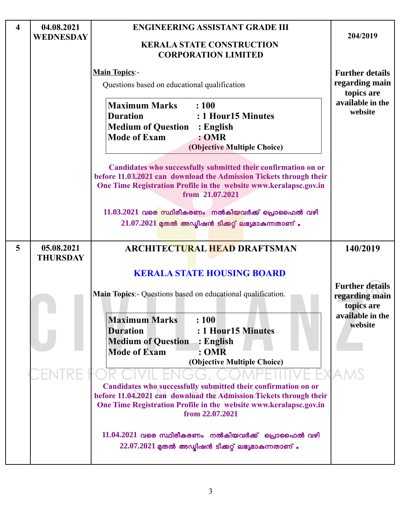| $\overline{\mathbf{4}}$ | 04.08.2021<br>WEDNESDAY       | <b>ENGINEERING ASSISTANT GRADE III</b><br><b>KERALA STATE CONSTRUCTION</b><br><b>CORPORATION LIMITED</b>                                                                                                                                                                                                                                                                                                                                                                                                                                   | 204/2019                                                                                          |
|-------------------------|-------------------------------|--------------------------------------------------------------------------------------------------------------------------------------------------------------------------------------------------------------------------------------------------------------------------------------------------------------------------------------------------------------------------------------------------------------------------------------------------------------------------------------------------------------------------------------------|---------------------------------------------------------------------------------------------------|
|                         |                               | <b>Main Topics:-</b><br>Questions based on educational qualification<br><b>Maximum Marks</b><br>: 100<br><b>Duration</b><br>: 1 Hour15 Minutes<br><b>Medium of Question : English</b><br><b>Mode of Exam</b><br>:OMR<br>(Objective Multiple Choice)<br>Candidates who successfully submitted their confirmation on or<br>before 11.03.2021 can download the Admission Tickets through their<br>One Time Registration Profile in the website www.keralapsc.gov.in<br>from 21.07.2021<br>$11.03.2021$ വരെ സ്ഥിരീകരണം നൽകിയവർക്ക് പ്രൊഫൈൽ വഴി | <b>Further details</b><br>regarding main<br>topics are<br>available in the<br>website             |
| 5                       | 05.08.2021<br><b>THURSDAY</b> | $21.07.2021$ മുതൽ അഡ്യിഷൻ ടിക്കറ്റ് ലഭ്യമാകുന്നതാണ്.<br><b>ARCHITECTURAL HEAD DRAFTSMAN</b><br><b>KERALA STATE HOUSING BOARD</b><br>Main Topics: - Questions based on educational qualification.<br>: 100<br><b>Maximum Marks</b><br><b>Duration</b><br>: 1 Hour15 Minutes<br><b>Medium of Question</b><br>$\therefore$ English<br><b>Mode of Exam</b><br>:OMR<br>(Objective Multiple Choice)                                                                                                                                              | 140/2019<br><b>Further details</b><br>regarding main<br>topics are<br>available in the<br>website |
|                         |                               | Candidates who successfully submitted their confirmation on or<br>before 11.04.2021 can download the Admission Tickets through their<br>One Time Registration Profile in the website www.keralapsc.gov.in<br>from 22.07.2021<br>$11.04.2021$ വരെ സ്ഥിരീകരണം നൽകിയവർക്ക് പ്രൊഫൈൽ വഴി<br>$22.07.2021$ മുതൽ അഡ്യിഷൻ ടിക്കറ്റ് ലഭ്യമാകുന്നതാണ് .                                                                                                                                                                                               |                                                                                                   |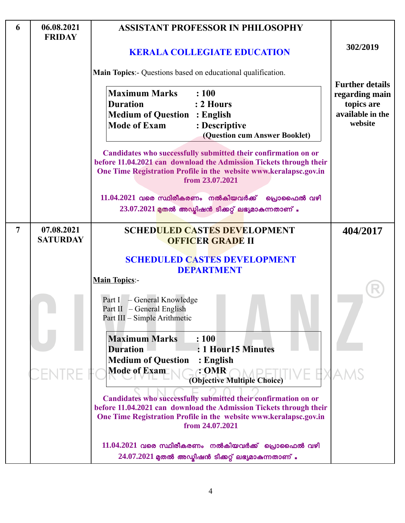| 6              | 06.08.2021<br><b>FRIDAY</b>   | <b>ASSISTANT PROFESSOR IN PHILOSOPHY</b>                                                                                                                                                                                     |                                                                                       |
|----------------|-------------------------------|------------------------------------------------------------------------------------------------------------------------------------------------------------------------------------------------------------------------------|---------------------------------------------------------------------------------------|
|                |                               | <b>KERALA COLLEGIATE EDUCATION</b>                                                                                                                                                                                           | 302/2019                                                                              |
|                |                               | Main Topics:- Questions based on educational qualification.                                                                                                                                                                  |                                                                                       |
|                |                               | <b>Maximum Marks</b><br>: 100<br><b>Duration</b><br>: 2 Hours<br><b>Medium of Question : English</b><br><b>Mode of Exam</b><br>: Descriptive<br>(Question cum Answer Booklet)                                                | <b>Further details</b><br>regarding main<br>topics are<br>available in the<br>website |
|                |                               | Candidates who successfully submitted their confirmation on or<br>before 11.04.2021 can download the Admission Tickets through their<br>One Time Registration Profile in the website www.keralapsc.gov.in<br>from 23.07.2021 |                                                                                       |
|                |                               | $11.04.2021$ വരെ സ്ഥിരീകരണം നൽകിയവർക്ക്<br>പ്രൊഫൈൽ വഴി<br>$23.07.2021$ മുതൽ അഡ്ബിഷൻ ടിക്കറ്റ് ലഭ്യമാകുന്നതാണ്.                                                                                                               |                                                                                       |
| $\overline{7}$ | 07.08.2021<br><b>SATURDAY</b> | <b>SCHEDULED CASTES DEVELOPMENT</b><br><b>OFFICER GRADE II</b>                                                                                                                                                               | 404/2017                                                                              |
|                |                               | <b>SCHEDULED CASTES DEVELOPMENT</b><br><b>DEPARTMENT</b><br><b>Main Topics:-</b>                                                                                                                                             |                                                                                       |
|                |                               | Part I - General Knowledge<br>Part II – General English<br>Part III - Simple Arithmetic                                                                                                                                      |                                                                                       |
|                |                               | <b>Maximum Marks</b><br>: 100<br>: 1 Hour15 Minutes<br><b>Duration</b><br><b>Medium of Question</b><br>: English<br><b>Mode of Exam</b><br>: OMR<br>(Objective Multiple Choice)                                              |                                                                                       |
|                |                               | Candidates who successfully submitted their confirmation on or<br>before 11.04.2021 can download the Admission Tickets through their<br>One Time Registration Profile in the website www.keralapsc.gov.in<br>from 24.07.2021 |                                                                                       |
|                |                               | $11.04.2021$ വരെ സ്ഥിരീകരണം നൽകിയവർക്ക് പ്രൊഫൈൽ വഴി<br>$24.07.2021$ മുതൽ അഡ്മിഷൻ ടിക്കറ്റ് ലഭ്യമാകുന്നതാണ്.                                                                                                                  |                                                                                       |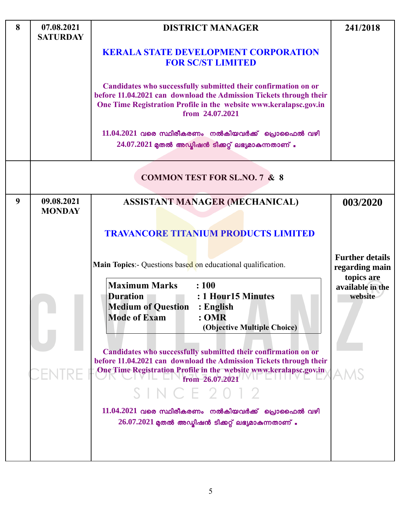| 8 | 07.08.2021<br><b>SATURDAY</b> | <b>DISTRICT MANAGER</b>                                                                                                                                                                                                                                                                                                                                                                                                                                                                                                                                                                                                                                                | 241/2018                                                                              |
|---|-------------------------------|------------------------------------------------------------------------------------------------------------------------------------------------------------------------------------------------------------------------------------------------------------------------------------------------------------------------------------------------------------------------------------------------------------------------------------------------------------------------------------------------------------------------------------------------------------------------------------------------------------------------------------------------------------------------|---------------------------------------------------------------------------------------|
|   |                               | <b>KERALA STATE DEVELOPMENT CORPORATION</b><br><b>FOR SC/ST LIMITED</b>                                                                                                                                                                                                                                                                                                                                                                                                                                                                                                                                                                                                |                                                                                       |
|   |                               | Candidates who successfully submitted their confirmation on or<br>before 11.04.2021 can download the Admission Tickets through their<br>One Time Registration Profile in the website www.keralapsc.gov.in<br>from 24.07.2021                                                                                                                                                                                                                                                                                                                                                                                                                                           |                                                                                       |
|   |                               | $11.04.2021$ വരെ സ്ഥിരീകരണം നൽകിയവർക്ക് പ്രൊഫൈൽ വഴി<br>$24.07.2021$ മുതൽ അഡ്ബിഷൻ ടിക്കറ്റ് ലഭ്യമാകുന്നതാണ്.                                                                                                                                                                                                                                                                                                                                                                                                                                                                                                                                                            |                                                                                       |
|   |                               | <b>COMMON TEST FOR SL.NO. 7 &amp; 8</b>                                                                                                                                                                                                                                                                                                                                                                                                                                                                                                                                                                                                                                |                                                                                       |
| 9 | 09.08.2021<br><b>MONDAY</b>   | <b>ASSISTANT MANAGER (MECHANICAL)</b>                                                                                                                                                                                                                                                                                                                                                                                                                                                                                                                                                                                                                                  | 003/2020                                                                              |
|   |                               | <b>TRAVANCORE TITANIUM PRODUCTS LIMITED</b><br><b>Main Topics:</b> - Questions based on educational qualification.<br><b>Maximum Marks</b><br>: 100<br>: 1 Hour15 Minutes<br><b>Duration</b><br><b>Medium of Question</b><br>: English<br><b>Mode of Exam</b><br>: OMR<br>(Objective Multiple Choice)<br>Candidates who successfully submitted their confirmation on or<br>before 11.04.2021 can download the Admission Tickets through their<br>One Time Registration Profile in the website www.keralapsc.gov.in<br>from 26.07.2021<br>S I N C E 2012<br>$11.04.2021$ വരെ സ്ഥിരീകരണം നൽകിയവർക്ക് പ്രൊഫൈൽ വഴി<br>$26.07.2021$ മുതൽ അഡ്മിഷൻ ടിക്കറ്റ് ലഭ്യമാകുന്നതാണ്. | <b>Further details</b><br>regarding main<br>topics are<br>available in the<br>website |

L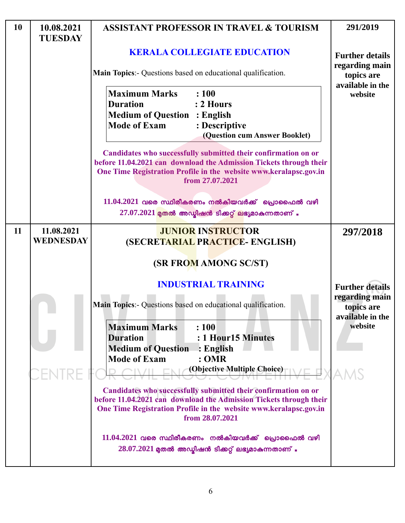| 10 | 10.08.2021<br><b>TUESDAY</b>   | <b>ASSISTANT PROFESSOR IN TRAVEL &amp; TOURISM</b>                                                                                                                                                                           | 291/2019                                         |
|----|--------------------------------|------------------------------------------------------------------------------------------------------------------------------------------------------------------------------------------------------------------------------|--------------------------------------------------|
|    |                                | <b>KERALA COLLEGIATE EDUCATION</b>                                                                                                                                                                                           | <b>Further details</b>                           |
|    |                                | Main Topics:- Questions based on educational qualification.                                                                                                                                                                  | regarding main<br>topics are<br>available in the |
|    |                                | <b>Maximum Marks</b><br>: 100<br><b>Duration</b><br>: 2 Hours<br><b>Medium of Question : English</b><br><b>Mode of Exam</b><br>: Descriptive<br>(Question cum Answer Booklet)                                                | website                                          |
|    |                                | Candidates who successfully submitted their confirmation on or<br>before 11.04.2021 can download the Admission Tickets through their<br>One Time Registration Profile in the website www.keralapsc.gov.in<br>from 27.07.2021 |                                                  |
|    |                                | $11.04.2021$ വരെ സ്ഥിരീകരണം നൽകിയവർക്ക് പ്രൊഫൈൽ വഴി<br>$27.07.2021$ മുതൽ അഡ്മിഷൻ ടിക്കറ്റ് ലഭ്യമാകുന്നതാണ് .                                                                                                                 |                                                  |
| 11 | 11.08.2021<br><b>WEDNESDAY</b> | <b>JUNIOR INSTRUCTOR</b><br>(SECRETARIAL PRACTICE- ENGLISH)                                                                                                                                                                  | 297/2018                                         |
|    |                                | <b>(SR FROM AMONG SC/ST)</b>                                                                                                                                                                                                 |                                                  |
|    |                                | <b>INDUSTRIAL TRAINING</b>                                                                                                                                                                                                   | <b>Further details</b>                           |
|    |                                | Main Topics:- Questions based on educational qualification.                                                                                                                                                                  | regarding main<br>topics are<br>available in the |
|    |                                | : 100<br><b>Maximum Marks</b><br><b>Duration</b><br>: 1 Hour15 Minutes<br><b>Medium of Question</b><br>$\div$ English<br><b>Mode of Exam</b><br>: <b>OMR</b>                                                                 | website                                          |
|    |                                | (Objective Multiple Choice)                                                                                                                                                                                                  |                                                  |
|    |                                | Candidates who successfully submitted their confirmation on or<br>before 11.04.2021 can download the Admission Tickets through their<br>One Time Registration Profile in the website www.keralapsc.gov.in<br>from 28.07.2021 |                                                  |
|    |                                | $11.04.2021$ വരെ സ്ഥിരീകരണം നൽകിയവർക്ക് പ്രൊഫൈൽ വഴി<br>$28.07.2021$ മുതൽ അഡ്മിഷൻ ടിക്കറ്റ് ലഭ്യമാകുന്നതാണ് .                                                                                                                 |                                                  |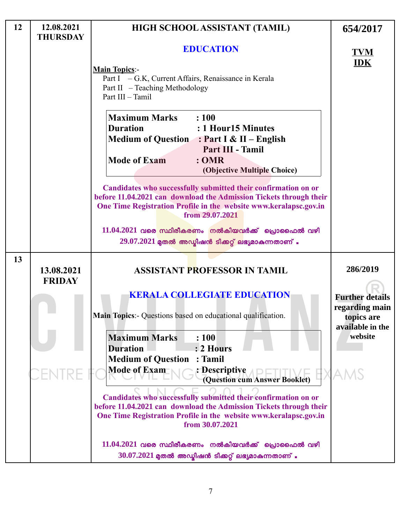| 12 | 12.08.2021<br><b>THURSDAY</b> | HIGH SCHOOL ASSISTANT (TAMIL)                                                                                                                                                                                                                                 | 654/2017                                                                   |
|----|-------------------------------|---------------------------------------------------------------------------------------------------------------------------------------------------------------------------------------------------------------------------------------------------------------|----------------------------------------------------------------------------|
|    |                               | <b>EDUCATION</b>                                                                                                                                                                                                                                              | TVM                                                                        |
|    |                               | <b>IDK</b>                                                                                                                                                                                                                                                    |                                                                            |
|    |                               | : 100<br><b>Maximum Marks</b><br><b>Duration</b><br>: 1 Hour15 Minutes<br>Medium of Question : Part I & II - English<br>Part III - Tamil<br><b>Mode of Exam</b><br>: <b>OMR</b><br>(Objective Multiple Choice)                                                |                                                                            |
|    |                               | Candidates who successfully submitted their confirmation on or<br>before 11.04.2021 can download the Admission Tickets through their<br>One Time Registration Profile in the website www.keralapsc.gov.in<br>from 29.07.2021                                  |                                                                            |
|    |                               | $11.04.2021$ വരെ സ്ഥിരീകരണം നൽകിയവർക്ക് പ്രൊഫൈൽ വഴി<br>$29.07.2021$ മുതൽ അഡ്ബിഷൻ ടിക്കറ്റ് ലഭ്യമാകുന്നതാണ്.                                                                                                                                                   |                                                                            |
| 13 | 13.08.2021<br><b>FRIDAY</b>   | <b>ASSISTANT PROFESSOR IN TAMIL</b>                                                                                                                                                                                                                           | 286/2019                                                                   |
|    |                               | <b>KERALA COLLEGIATE EDUCATION</b><br>Main Topics:- Questions based on educational qualification.                                                                                                                                                             | <b>Further details</b><br>regarding main<br>topics are<br>available in the |
|    |                               | <b>Maximum Marks</b><br>: 100<br>: 2 Hours<br><b>Duration</b><br>: Tamil<br><b>Medium of Question</b><br><b>Mode of Exam</b><br>: Descriptive                                                                                                                 | website                                                                    |
|    |                               | (Question cum Answer Booklet)<br>Candidates who successfully submitted their confirmation on or<br>before 11.04.2021 can download the Admission Tickets through their<br>One Time Registration Profile in the website www.keralapsc.gov.in<br>from 30.07.2021 |                                                                            |
|    |                               | $11.04.2021$ വരെ സ്ഥിരീകരണം നൽകിയവർക്ക് പ്രൊഫൈൽ വഴി<br>$30.07.2021$ മുതൽ അഡ്മിഷൻ ടിക്കറ്റ് ലഭ്യമാകുന്നതാണ് .                                                                                                                                                  |                                                                            |